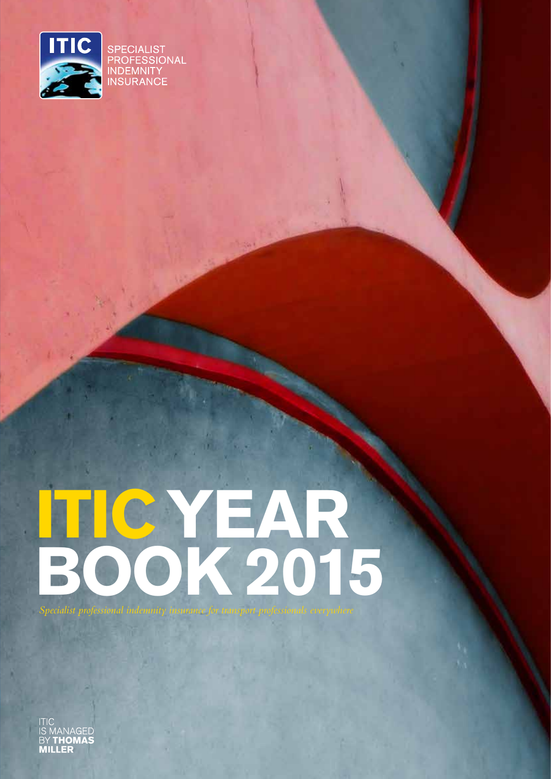

# **ITIC YEAR BOOK 2015**

**MANAGED BY THOMAS MILLER**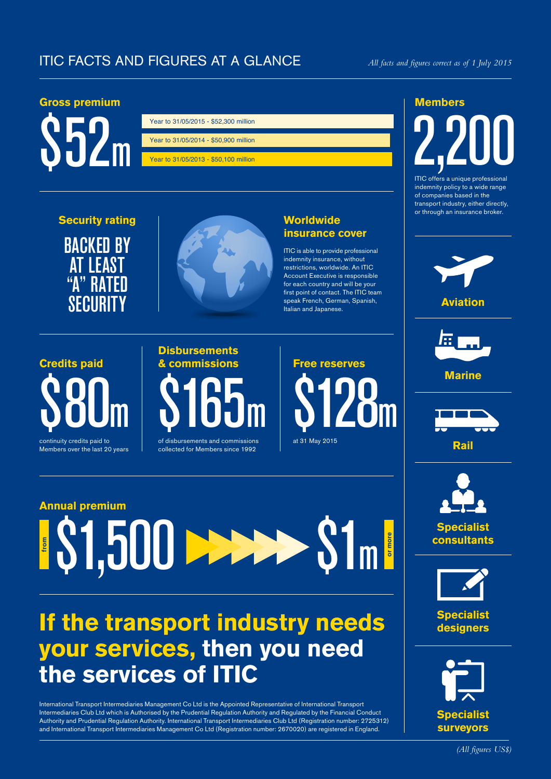# ITIC FACTS AND FIGURES AT A GLANCE

## **Gross premium**



| Year to 31/05/2015 - \$52,300 million |
|---------------------------------------|
|                                       |
| Year to 31/05/2014 - \$50,900 million |
|                                       |
| Year to 31/05/2013 - \$50,100 million |

**Security rating** BACKED BY **AT LEAST**  $R/$ 

**SECURITY** 



## **Worldwide insurance cover**

ITIC is able to provide professional indemnity insurance, without restrictions, worldwide. An ITIC Account Executive is responsible for each country and will be your first point of contact. The ITIC team speak French, German, Spanish, Italian and Japanese.



Members over the last 20 years

# **Disbursements & commissions** \$165m

of disbursements and commissions collected for Members since 1992



# **Annual premium** \$1,500 **from or more** \$1m

# **If the transport industry needs your services, then you need the services of ITIC**

International Transport Intermediaries Management Co Ltd is the Appointed Representative of International Transport Intermediaries Club Ltd which is Authorised by the Prudential Regulation Authority and Regulated by the Financial Conduct Authority and Prudential Regulation Authority. International Transport Intermediaries Club Ltd (Registration number: 2725312) and International Transport Intermediaries Management Co Ltd (Registration number: 2670020) are registered in England.

## **Members**

# **2,200**

ITIC offers a unique professional indemnity policy to a wide range of companies based in the transport industry, either directly, or through an insurance broker.





**Marine**





**Specialist consultants**



**Specialist designers**

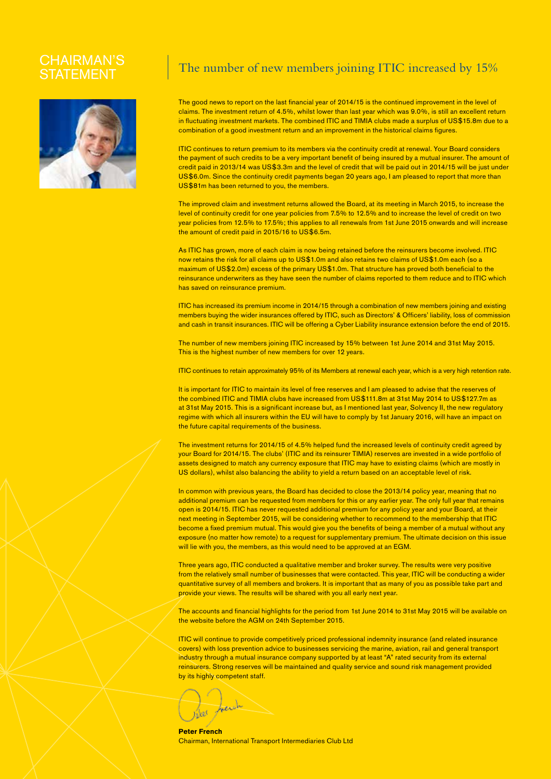# STATEMEN



# $\text{CHAIRMAN'S}$   $\parallel$  The number of new members joining ITIC increased by 15%

The good news to report on the last financial year of 2014/15 is the continued improvement in the level of claims. The investment return of 4.5%, whilst lower than last year which was 9.0%, is still an excellent return in fluctuating investment markets. The combined ITIC and TIMIA clubs made a surplus of US\$15.8m due to a combination of a good investment return and an improvement in the historical claims figures.

ITIC continues to return premium to its members via the continuity credit at renewal. Your Board considers the payment of such credits to be a very important benefit of being insured by a mutual insurer. The amount of credit paid in 2013/14 was US\$3.3m and the level of credit that will be paid out in 2014/15 will be just under US\$6.0m. Since the continuity credit payments began 20 years ago, I am pleased to report that more than US\$81m has been returned to you, the members.

The improved claim and investment returns allowed the Board, at its meeting in March 2015, to increase the level of continuity credit for one year policies from 7.5% to 12.5% and to increase the level of credit on two year policies from 12.5% to 17.5%; this applies to all renewals from 1st June 2015 onwards and will increase the amount of credit paid in 2015/16 to US\$6.5m.

As ITIC has grown, more of each claim is now being retained before the reinsurers become involved. ITIC now retains the risk for all claims up to US\$1.0m and also retains two claims of US\$1.0m each (so a maximum of US\$2.0m) excess of the primary US\$1.0m. That structure has proved both beneficial to the reinsurance underwriters as they have seen the number of claims reported to them reduce and to ITIC which has saved on reinsurance premium.

ITIC has increased its premium income in 2014/15 through a combination of new members joining and existing members buying the wider insurances offered by ITIC, such as Directors' & Officers' liability, loss of commission and cash in transit insurances. ITIC will be offering a Cyber Liability insurance extension before the end of 2015.

The number of new members joining ITIC increased by 15% between 1st June 2014 and 31st May 2015. This is the highest number of new members for over 12 years.

ITIC continues to retain approximately 95% of its Members at renewal each year, which is a very high retention rate.

It is important for ITIC to maintain its level of free reserves and I am pleased to advise that the reserves of the combined ITIC and TIMIA clubs have increased from US\$111.8m at 31st May 2014 to US\$127.7m as at 31st May 2015. This is a significant increase but, as I mentioned last year, Solvency II, the new regulatory regime with which all insurers within the EU will have to comply by 1st January 2016, will have an impact on the future capital requirements of the business.

The investment returns for 2014/15 of 4.5% helped fund the increased levels of continuity credit agreed by your Board for 2014/15. The clubs' (ITIC and its reinsurer TIMIA) reserves are invested in a wide portfolio of assets designed to match any currency exposure that ITIC may have to existing claims (which are mostly in US dollars), whilst also balancing the ability to yield a return based on an acceptable level of risk.

In common with previous years, the Board has decided to close the 2013/14 policy year, meaning that no additional premium can be requested from members for this or any earlier year. The only full year that remains open is 2014/15. ITIC has never requested additional premium for any policy year and your Board, at their next meeting in September 2015, will be considering whether to recommend to the membership that ITIC become a fixed premium mutual. This would give you the benefits of being a member of a mutual without any exposure (no matter how remote) to a request for supplementary premium. The ultimate decision on this issue will lie with you, the members, as this would need to be approved at an EGM.

Three years ago, ITIC conducted a qualitative member and broker survey. The results were very positive from the relatively small number of businesses that were contacted. This year, ITIC will be conducting a wider quantitative survey of all members and brokers. It is important that as many of you as possible take part and provide your views. The results will be shared with you all early next year.

The accounts and financial highlights for the period from 1st June 2014 to 31st May 2015 will be available on the website before the AGM on 24th September 2015.

ITIC will continue to provide competitively priced professional indemnity insurance (and related insurance covers) with loss prevention advice to businesses servicing the marine, aviation, rail and general transport industry through a mutual insurance company supported by at least "A" rated security from its external reinsurers. Strong reserves will be maintained and quality service and sound risk management provided by its highly competent staff.

**Peter French**  Chairman, International Transport Intermediaries Club Ltd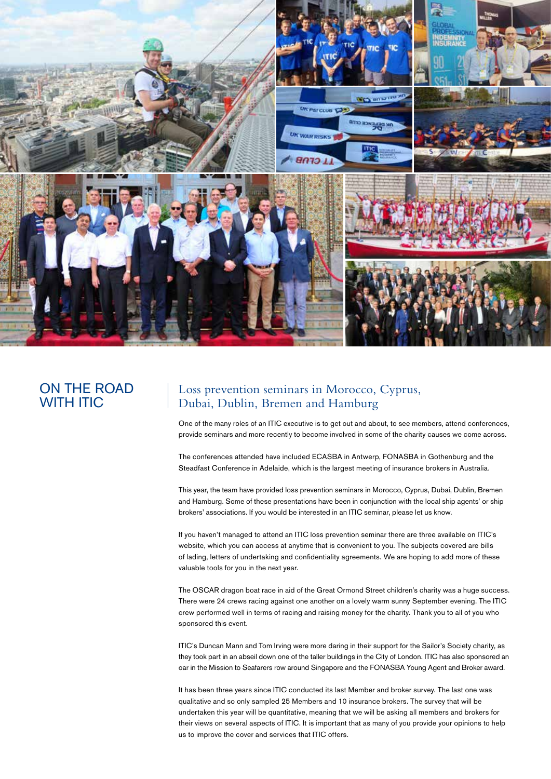

# ON THE ROAD WITH ITIC

# Loss prevention seminars in Morocco, Cyprus, Dubai, Dublin, Bremen and Hamburg

One of the many roles of an ITIC executive is to get out and about, to see members, attend conferences, provide seminars and more recently to become involved in some of the charity causes we come across.

The conferences attended have included ECASBA in Antwerp, FONASBA in Gothenburg and the Steadfast Conference in Adelaide, which is the largest meeting of insurance brokers in Australia.

This year, the team have provided loss prevention seminars in Morocco, Cyprus, Dubai, Dublin, Bremen and Hamburg. Some of these presentations have been in conjunction with the local ship agents' or ship brokers' associations. If you would be interested in an ITIC seminar, please let us know.

If you haven't managed to attend an ITIC loss prevention seminar there are three available on ITIC's website, which you can access at anytime that is convenient to you. The subjects covered are bills of lading, letters of undertaking and confidentiality agreements. We are hoping to add more of these valuable tools for you in the next year.

The OSCAR dragon boat race in aid of the Great Ormond Street children's charity was a huge success. There were 24 crews racing against one another on a lovely warm sunny September evening. The ITIC crew performed well in terms of racing and raising money for the charity. Thank you to all of you who sponsored this event.

ITIC's Duncan Mann and Tom Irving were more daring in their support for the Sailor's Society charity, as they took part in an abseil down one of the taller buildings in the City of London. ITIC has also sponsored an oar in the Mission to Seafarers row around Singapore and the FONASBA Young Agent and Broker award.

It has been three years since ITIC conducted its last Member and broker survey. The last one was qualitative and so only sampled 25 Members and 10 insurance brokers. The survey that will be undertaken this year will be quantitative, meaning that we will be asking all members and brokers for their views on several aspects of ITIC. It is important that as many of you provide your opinions to help us to improve the cover and services that ITIC offers.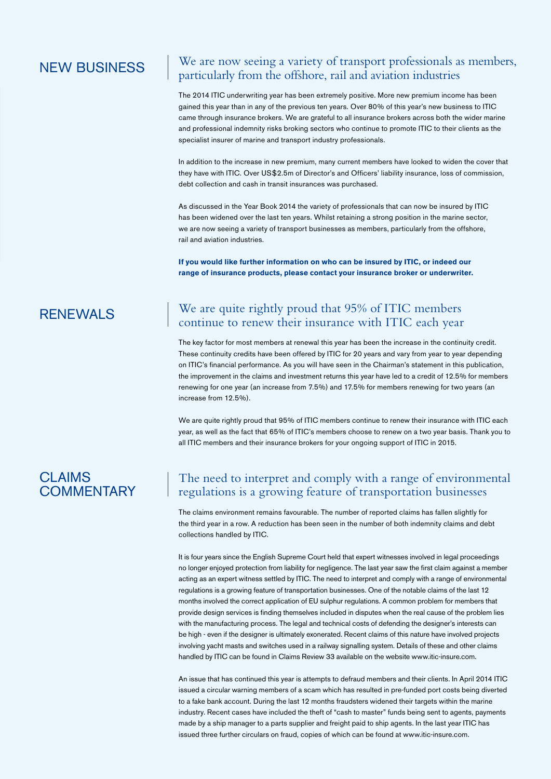## We are now seeing a variety of transport professionals as members, **NEW BUSINESS** We are now seeing a variety of transport professionals a particularly from the offshore, rail and aviation industries

The 2014 ITIC underwriting year has been extremely positive. More new premium income has been gained this year than in any of the previous ten years. Over 80% of this year's new business to ITIC came through insurance brokers. We are grateful to all insurance brokers across both the wider marine and professional indemnity risks broking sectors who continue to promote ITIC to their clients as the specialist insurer of marine and transport industry professionals.

In addition to the increase in new premium, many current members have looked to widen the cover that they have with ITIC. Over US\$2.5m of Director's and Officers' liability insurance, loss of commission, debt collection and cash in transit insurances was purchased.

As discussed in the Year Book 2014 the variety of professionals that can now be insured by ITIC has been widened over the last ten years. Whilst retaining a strong position in the marine sector, we are now seeing a variety of transport businesses as members, particularly from the offshore, rail and aviation industries.

**If you would like further information on who can be insured by ITIC, or indeed our range of insurance products, please contact your insurance broker or underwriter.**

# We are quite rightly proud that 95% of ITIC members RENEWALS we are quite rightly proud that 95% of FITC members<br>continue to renew their insurance with ITIC each year

The key factor for most members at renewal this year has been the increase in the continuity credit. These continuity credits have been offered by ITIC for 20 years and vary from year to year depending on ITIC's financial performance. As you will have seen in the Chairman's statement in this publication, the improvement in the claims and investment returns this year have led to a credit of 12.5% for members renewing for one year (an increase from 7.5%) and 17.5% for members renewing for two years (an increase from 12.5%).

We are quite rightly proud that 95% of ITIC members continue to renew their insurance with ITIC each year, as well as the fact that 65% of ITIC's members choose to renew on a two year basis. Thank you to all ITIC members and their insurance brokers for your ongoing support of ITIC in 2015.

# **CLAIMS COMMENTARY**

# The need to interpret and comply with a range of environmental regulations is a growing feature of transportation businesses

The claims environment remains favourable. The number of reported claims has fallen slightly for the third year in a row. A reduction has been seen in the number of both indemnity claims and debt collections handled by ITIC.

It is four years since the English Supreme Court held that expert witnesses involved in legal proceedings no longer enjoyed protection from liability for negligence. The last year saw the first claim against a member acting as an expert witness settled by ITIC. The need to interpret and comply with a range of environmental regulations is a growing feature of transportation businesses. One of the notable claims of the last 12 months involved the correct application of EU sulphur regulations. A common problem for members that provide design services is finding themselves included in disputes when the real cause of the problem lies with the manufacturing process. The legal and technical costs of defending the designer's interests can be high - even if the designer is ultimately exonerated. Recent claims of this nature have involved projects involving yacht masts and switches used in a railway signalling system. Details of these and other claims handled by ITIC can be found in Claims Review 33 available on the website www.itic-insure.com.

An issue that has continued this year is attempts to defraud members and their clients. In April 2014 ITIC issued a circular warning members of a scam which has resulted in pre-funded port costs being diverted to a fake bank account. During the last 12 months fraudsters widened their targets within the marine industry. Recent cases have included the theft of "cash to master" funds being sent to agents, payments made by a ship manager to a parts supplier and freight paid to ship agents. In the last year ITIC has issued three further circulars on fraud, copies of which can be found at www.itic-insure.com.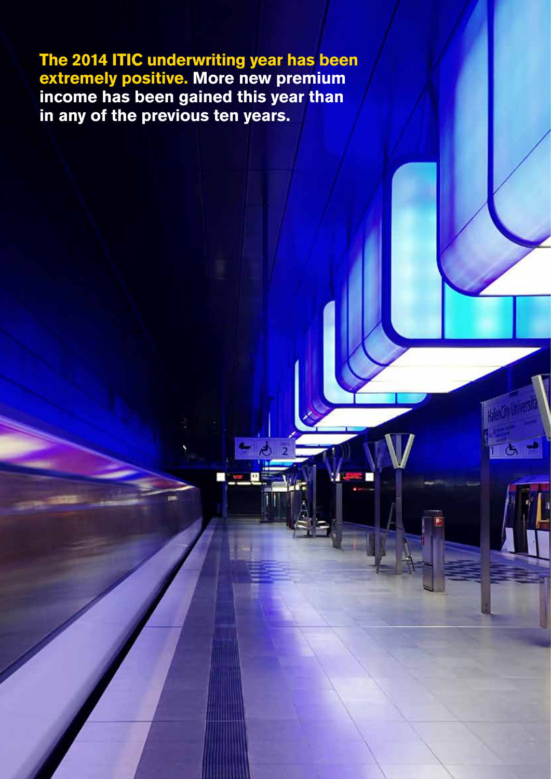**The 2014 ITIC underwriting year has been extremely positive. More new premium income has been gained this year than in any of the previous ten years.**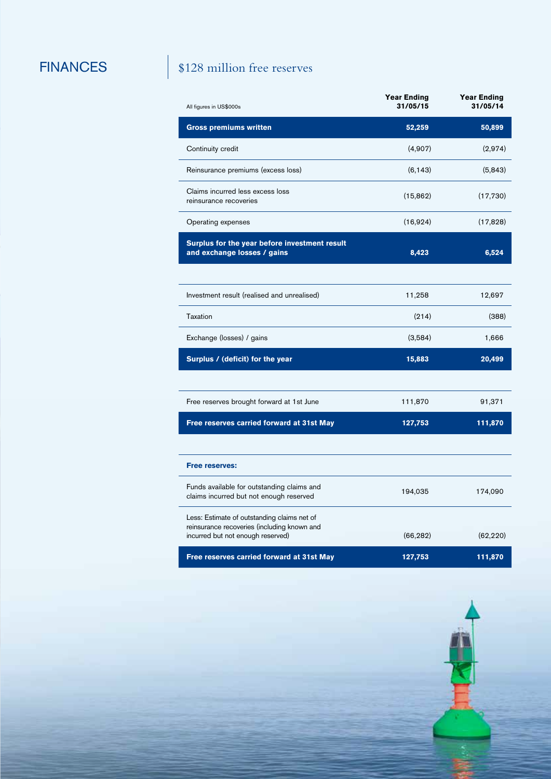# FINANCES \$128 million free reserves

| All figures in US\$000s                                                                                                         | <b>Year Ending</b><br>31/05/15 | <b>Year Ending</b><br>31/05/14 |
|---------------------------------------------------------------------------------------------------------------------------------|--------------------------------|--------------------------------|
| <b>Gross premiums written</b>                                                                                                   | 52,259                         | 50,899                         |
| Continuity credit                                                                                                               | (4,907)                        | (2,974)                        |
| Reinsurance premiums (excess loss)                                                                                              | (6, 143)                       | (5, 843)                       |
| Claims incurred less excess loss<br>reinsurance recoveries                                                                      | (15, 862)                      | (17,730)                       |
| Operating expenses                                                                                                              | (16,924)                       | (17, 828)                      |
| Surplus for the year before investment result<br>and exchange losses / gains                                                    | 8,423                          | 6,524                          |
|                                                                                                                                 |                                |                                |
| Investment result (realised and unrealised)                                                                                     | 11,258                         | 12,697                         |
| Taxation                                                                                                                        | (214)                          | (388)                          |
| Exchange (losses) / gains                                                                                                       | (3,584)                        | 1,666                          |
| Surplus / (deficit) for the year                                                                                                | 15,883                         | 20,499                         |
|                                                                                                                                 |                                |                                |
| Free reserves brought forward at 1st June                                                                                       | 111,870                        | 91,371                         |
| Free reserves carried forward at 31st May                                                                                       | 127,753                        | 111,870                        |
|                                                                                                                                 |                                |                                |
| <b>Free reserves:</b>                                                                                                           |                                |                                |
| Funds available for outstanding claims and<br>claims incurred but not enough reserved                                           | 194,035                        | 174,090                        |
| Less: Estimate of outstanding claims net of<br>reinsurance recoveries (including known and<br>incurred but not enough reserved) | (66, 282)                      | (62, 220)                      |
| Free reserves carried forward at 31st May                                                                                       | 127,753                        | 111,870                        |